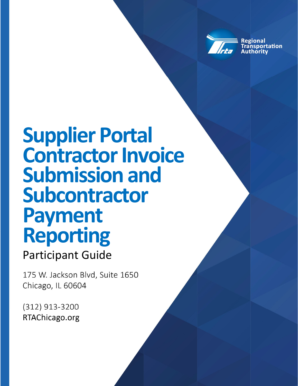

**Regional isportation** 

# **Supplier Portal Contractor Invoice Submission and Subcontractor Payment Reporting**

# Participant Guide

175 W. Jackson Blvd, Suite 1650 Chicago, IL 60604

(312) 913-3200 RTAChicago.org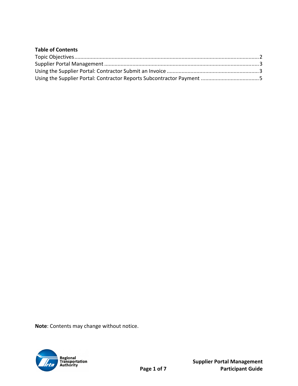| <b>Table of Contents</b> |  |
|--------------------------|--|
|                          |  |
|                          |  |
|                          |  |
|                          |  |

**Note**: Contents may change without notice.

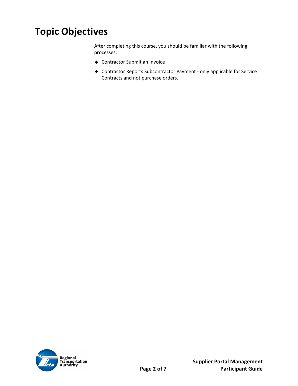# **Topic Objectives**

After completing this course, you should be familiar with the following processes:

- ◆ Contractor Submit an Invoice
- ◆ Contractor Reports Subcontractor Payment only applicable for Service Contracts and not purchase orders.

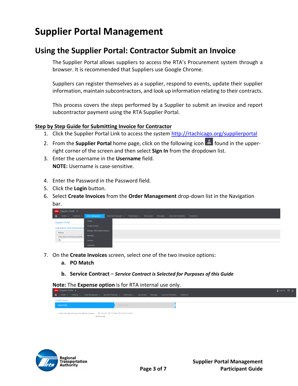## **Supplier Portal Management**

#### **Using the Supplier Portal: Contractor Submit an Invoice**

The Supplier Portal allows suppliers to access the RTA's Procurement system through a browser. It is recommended that Suppliers use Google Chrome.

Suppliers can register themselves as a supplier, respond to events, update their supplier information, maintain subcontractors, and look up information relating to their contracts.

This process covers the steps performed by a Supplier to submit an invoice and report subcontractor payment using the RTA Supplier Portal.

#### **Step by Step Guide for Submitting Invoice for Contractor**

- 1. Click the Supplier Portal Link to access the system http://rtachicago.org/supplierportal
- 2. From the **Supplier Portal** home page, click on the following icon **Alterator in the upper**right corner of the screen and then select **Sign In** from the dropdown list.
- 3. Enter the username in the **Username** field. **NOTE:** Username is case‐sensitive.
- 4. Enter the Password in the Password field.
- 5. Click the **Login** button.
- 6. Select **Create Invoices** from the **Order Management** drop‐down list in the Navigation bar.

| <b>infor</b> Supplier Portal $\blacktriangledown$ |                                                                                                                   |  |  |  |  |  |  |  |
|---------------------------------------------------|-------------------------------------------------------------------------------------------------------------------|--|--|--|--|--|--|--|
| â<br>Events $\star$ Contracts $\star$             | Order Management -<br>New Item Proposals ► Performance ► My Account Messages Links And Instructions<br>Contact Us |  |  |  |  |  |  |  |
| <b>Supplier Portal</b>                            | Orders                                                                                                            |  |  |  |  |  |  |  |
| <b>Instructions And Announceme</b>                | <b>Create Invoices</b>                                                                                            |  |  |  |  |  |  |  |
| Refresh                                           | Manage Self Created Invoices                                                                                      |  |  |  |  |  |  |  |
| Instructions And Announcements                    | Receipts                                                                                                          |  |  |  |  |  |  |  |
| (n)                                               | Invoices                                                                                                          |  |  |  |  |  |  |  |
|                                                   | Payments                                                                                                          |  |  |  |  |  |  |  |

- 7. On the **Create Invoices** screen, select one of the two invoice options:
	- **a. PO Match**
	- **b. Service Contract** *Service Contract is Selected for Purposes of this Guide*

**Note:** The **Expense option** is for RTA internal use only.

| <b>infor</b> Supplier Portal $\blacktriangledown$                                            |                                                                                                                                    | Ade Fal Q= N |
|----------------------------------------------------------------------------------------------|------------------------------------------------------------------------------------------------------------------------------------|--------------|
|                                                                                              | A Events ▼ Contracts ▼ Order Management ▼ New Item Proposals ▼ Performance ▼ My Account Messages Links And Instructions Contact Us |              |
| <b>Create Invoice</b>                                                                        |                                                                                                                                    |              |
| Invoice Entry                                                                                | Submit Invoice                                                                                                                     |              |
| * Select The Type Of Invoice You Will Be Creating:  C Expense  O PO Match O Service Contract |                                                                                                                                    |              |
| (RTA use only)                                                                               |                                                                                                                                    |              |

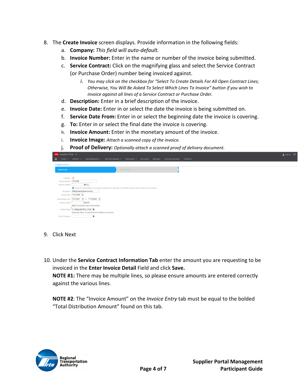- 8. The **Create Invoice** screen displays. Provide information in the following fields:
	- a. **Company:** *This field will auto‐default.*
	- b. **Invoice Number:** Enter in the name or number of the invoice being submitted.
	- c. **Service Contract:** Click on the magnifying glass and select the Service Contract (or Purchase Order) number being invoiced against.
		- *i. You may click on the checkbox for "Select To Create Details For All Open Contract Lines; Otherwise, You Will Be Asked To Select Which Lines To Invoice" button if you wish to invoice against all lines of a Service Contract or Purchase Order.*
	- d. **Description:** Enter in a brief description of the invoice.
	- e. **Invoice Date:** Enter in or select the date the invoice is being submitted on.
	- f. **Service Date From:** Enter in or select the beginning date the invoice is covering.
	- g. **To:** Enter in or select the final date the invoice is covering.
	- h. **Invoice Amount:** Enter in the monetary amount of the invoice.
	- i. **Invoice Image:** *Attach a scanned copy of the invoice.*
	- j. **Proof of Delivery:** *Optionally attach a scanned proof of delivery document.*

|    | <b>infor</b> Supplier Portal v<br>Ade Fal QF                |                                                                                                                                                                                  |  |  |  |  |  |  |  |  |
|----|-------------------------------------------------------------|----------------------------------------------------------------------------------------------------------------------------------------------------------------------------------|--|--|--|--|--|--|--|--|
| 一合 |                                                             | New Item Proposals v<br>Order Management v<br>Performance v<br>My Account Messages<br><b>Links And Instructions</b><br><b>Contact Us</b><br>Events $\star$ Contracts $\star$     |  |  |  |  |  |  |  |  |
|    | <b>Create Invoice</b>                                       |                                                                                                                                                                                  |  |  |  |  |  |  |  |  |
|    | <b>Invoice Entry</b>                                        | Submit Invoice                                                                                                                                                                   |  |  |  |  |  |  |  |  |
|    | Company: 1<br>Invoice Number: 11112020<br>Service Contract: | 494 高                                                                                                                                                                            |  |  |  |  |  |  |  |  |
|    | Description:                                                | Select To Create Details For All Open Contract Lines; Otherwise, You Will Be Asked To Select Which Lines To Invoice<br>StepByStepSupplierInvoicing<br>Invoice Date: 11/11/2020 台 |  |  |  |  |  |  |  |  |
|    | Invoice Amount:                                             | Service Date From: (10/1/2020 (2) To: (11/30/2020 (2)<br>1,000.00<br>Attach a scanned copy of the invoice.                                                                       |  |  |  |  |  |  |  |  |
|    | Invoice Image:                                              | C:\fakepath\RTA_PO#!<br>Optionally attach a scanned proof of delivery document                                                                                                   |  |  |  |  |  |  |  |  |
|    | Proof Of Delivery:                                          | 旨                                                                                                                                                                                |  |  |  |  |  |  |  |  |

- 9. Click Next
- 10. Under the **Service Contract Information Tab** enter the amount you are requesting to be invoiced in the **Enter Invoice Detail** Field and click **Save. NOTE #1:** There may be multiple lines, so please ensure amounts are entered correctly against the various lines.

**NOTE #2**: The "Invoice Amount" on the *Invoice Entry* tab must be equal to the bolded "Total Distribution Amount" found on this tab.

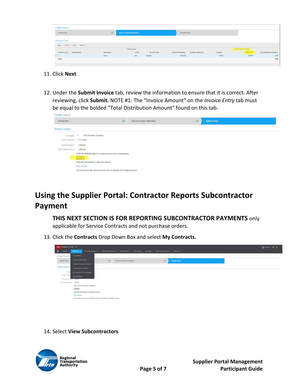| <b>Invoice Entry</b>        | v           | Service Contract Information |              | Submit Invoice                      |          |                      |                                  |
|-----------------------------|-------------|------------------------------|--------------|-------------------------------------|----------|----------------------|----------------------------------|
| <b>Contract Lines</b>       |             |                              |              |                                     |          |                      |                                  |
| Save Delete Open Search     |             |                              |              |                                     |          |                      |                                  |
|                             |             | Contract Line                |              |                                     |          | Enter Invoice Detail |                                  |
| Contract Line A Item Number | Description | <b>UOM</b>                   | Service Code | Amount Remaining Quantity Remaining | Quantity | Unit Cost            | <b>Total Distribution Amount</b> |
| $+1$                        | Line 1.     | EA                           | Amount       | 2,000.00                            | 1.0000   | 500.00               | 0.00                             |
| Total                       |             |                              |              |                                     |          |                      | 0.00                             |

- 11. Click **Next**
- 12. Under the **Submit Invoice** tab, review the information to ensure that it is correct. After reviewing, click **Submit.** NOTE #1: The "Invoice Amount" on the *Invoice Entry* tab must be equal to the bolded "Total Distribution Amount" found on this tab.

| $\overline{\phantom{a}}$                  | Service Contract Information | ✔                                                                                                                                      | <b>Submit Invoice</b> |
|-------------------------------------------|------------------------------|----------------------------------------------------------------------------------------------------------------------------------------|-----------------------|
|                                           |                              |                                                                                                                                        |                       |
| <b>RTA Payables Company</b><br>Company: 1 |                              |                                                                                                                                        |                       |
| 111112020                                 |                              |                                                                                                                                        |                       |
| 1,000.00                                  |                              |                                                                                                                                        |                       |
| Total Detail Amount: 1,000.00             |                              |                                                                                                                                        |                       |
|                                           |                              |                                                                                                                                        |                       |
|                                           |                              |                                                                                                                                        |                       |
| Click the link below to view the invoice  |                              |                                                                                                                                        |                       |
| View Invoice                              |                              |                                                                                                                                        |                       |
|                                           |                              |                                                                                                                                        |                       |
|                                           |                              | Click the Submit button to submit this Invoice immediately.<br>The invoice can also be viewed any time in manage self created invoices |                       |

### **Using the Supplier Portal: Contractor Reports Subcontractor Payment**

**THIS NEXT SECTION IS FOR REPORTING SUBCONTRACTOR PAYMENTS** only applicable for Service Contracts and not purchase orders.

13. Click the **Contracts** Drop Down Box and select **My Contracts.**

| <b>infor</b> Supplier Portal $\blacktriangledown$                                                                                                                                            | ▲ Ade Fal Q → |
|----------------------------------------------------------------------------------------------------------------------------------------------------------------------------------------------|---------------|
| $\hat{\mathbf{a}}$<br>New Item Proposals v<br>Order Management v<br>Performance w<br>My Account<br>Messages<br><b>Contact Us</b><br><b>Links And Instructions</b><br>Events -<br>Contracts v |               |
| My Contracts<br><b>Create Invoice</b>                                                                                                                                                        |               |
| My Terms Negotiation<br>$\checkmark$<br>$\checkmark$<br><b>Invoice Entry</b><br>Service Contract Information<br>Submit Invoice                                                               |               |
| <b>Create A Proposed Contract</b>                                                                                                                                                            |               |
| Submit Invoice<br>My Proposed Contracts                                                                                                                                                      |               |
| Comp<br>All Contracts For My Supplier                                                                                                                                                        |               |
| <b>Invoice Numi</b><br><b>Subcontractors</b>                                                                                                                                                 |               |
| Invoice Amount: 500.00                                                                                                                                                                       |               |
| 500.00<br><b>Total Detail Amount:</b>                                                                                                                                                        |               |
| This invoice has been submitted                                                                                                                                                              |               |
| Submit<br><b>Contract Contract Contract</b>                                                                                                                                                  |               |
| Click the link below to view the invoice                                                                                                                                                     |               |
| View Invoice                                                                                                                                                                                 |               |
| The invoice can also be viewed any time in manage self created invoices                                                                                                                      |               |

14. Select **View Subcontractors**

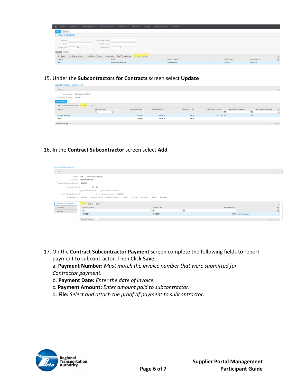| < Events > Contracts > Order Management > New Item Proposals > Performance > My Account Messages Links And Instructions Contact Us |                                              |                        |                |                                          |  |  |  |  |  |  |
|------------------------------------------------------------------------------------------------------------------------------------|----------------------------------------------|------------------------|----------------|------------------------------------------|--|--|--|--|--|--|
| Active<br>Expiring                                                                                                                 |                                              |                        |                |                                          |  |  |  |  |  |  |
| My Active Contracts (1)                                                                                                            |                                              |                        |                |                                          |  |  |  |  |  |  |
| Working Contract ID:<br>Contract:                                                                                                  |                                              |                        |                |                                          |  |  |  |  |  |  |
| Name:<br>Primary Contact:                                                                                                          |                                              |                        |                |                                          |  |  |  |  |  |  |
| ⋴<br>Effective Date:<br>Expiration Date:                                                                                           | $\Box$                                       |                        |                |                                          |  |  |  |  |  |  |
| Clear<br>Search                                                                                                                    |                                              |                        |                |                                          |  |  |  |  |  |  |
| Print Contract With Lines Attachments<br>Print Contract No Lines<br>View Details                                                   | Email Primary Contact<br>View Subcontractors |                        |                | $\boxed{2}$                              |  |  |  |  |  |  |
| Contract<br>Name                                                                                                                   |                                              | <b>Primary Contact</b> | Effective Date | $\mathbf{Q}_s$<br><b>Expiration Date</b> |  |  |  |  |  |  |
| 494                                                                                                                                | SBS Invoice 11/10/2020                       | Ademola Faleti         | 10/5/2020      | 10/5/2099                                |  |  |  |  |  |  |

#### 15. Under the **Subcontractors for Contracts** screen select **Update**

| Subcontractors For Contract 494                                          |                                       |                        |                         |                   |                          |                               |                                   |           |                          |                                           |
|--------------------------------------------------------------------------|---------------------------------------|------------------------|-------------------------|-------------------|--------------------------|-------------------------------|-----------------------------------|-----------|--------------------------|-------------------------------------------|
| Refresh                                                                  |                                       |                        |                         |                   |                          |                               |                                   |           |                          | $\overline{\phantom{a}}$                  |
| Contract Name: SBS Invoice 11/10/2020<br>Proposed Total Amount: 8,000.00 |                                       |                        |                         |                   |                          |                               |                                   |           |                          |                                           |
| Subcontractors<br>Attach Subcontractor To Contract                       | Update Delete                         |                        |                         |                   |                          |                               |                                   |           | $\overline{\phantom{a}}$ |                                           |
| Name A                                                                   | Commodity Code<br>$\langle n \rangle$ | $\overline{\text{ra}}$ | <b>Committed Amount</b> | Committed Percent | <b>Total Amount Paid</b> | <b>Total Percent Complete</b> | Lien Release Required<br>$\equiv$ | $ =$      | Lien Release Completed   | ø,<br>$\mathbf{v} \parallel \mathbf{T}_s$ |
| SBSSubContractor                                                         |                                       |                        | 2,400.00                | 30,000 %          | 100.00                   | 4.167 % No                    |                                   | <b>No</b> |                          |                                           |
| <b>Total</b>                                                             |                                       |                        | 2,400.00                | 30,000 %          | 100.00                   |                               |                                   |           |                          |                                           |
| Records Per Page: 10                                                     |                                       |                        |                         |                   |                          |                               |                                   |           |                          | $ 4$ $4$ $ $ $ $ $ $                      |

#### 16. In the **Contract Subcontractor** screen select **Add**

| <b>Contract Subcontractor</b>            |                                                                                                |              |                |                                     |
|------------------------------------------|------------------------------------------------------------------------------------------------|--------------|----------------|-------------------------------------|
| Save                                     |                                                                                                |              |                | $\overline{\phantom{a}}$            |
| Contract:                                | SBS Invoice 11/10/2020<br>494                                                                  |              |                |                                     |
|                                          | Subcontractor: SBSSubContractor                                                                |              |                |                                     |
| Proposed Total Contract Amount: 8,000.00 |                                                                                                |              |                |                                     |
| Commodity Code:                          | 同目                                                                                             |              |                |                                     |
|                                          | □ Lien Release Required □ Lien Release Completed                                               |              |                |                                     |
| Enter Committed Amount:                  | - Or- Committed Percent: 30.000 %                                                              |              |                |                                     |
| Committed Amount:                        | 2,400.00<br>Committed Percent: 30.000 % Total Paid:<br>100.00<br>4.167%<br>Remaining: 2,300.00 | 95.833 %     |                |                                     |
|                                          |                                                                                                |              |                |                                     |
| <b>Subcontractor Payments</b>            | Add Update Delete                                                                              |              |                | $\overline{\phantom{a}}$            |
| Comments                                 | Payment Number                                                                                 | Payment Date | Payment Amount | $\frac{\Phi_{\rm s}}{\Psi_{\rm s}}$ |
| Diversity                                | (n)                                                                                            | $=$          | $0 =$          |                                     |
|                                          | 11112020                                                                                       | 11/11/2020   |                | 100.00 Proof Of Payment             |
|                                          | Records Per Page: 10                                                                           |              |                | $ A \cdot A $ $\geq$ $ A $          |
|                                          |                                                                                                |              |                |                                     |

17. On the **Contract Subcontractor Payment** screen complete the following fields to report payment to subcontractor. Then Click **Save.**

a. **Payment Number:** *Must match the invoice number that were submitted for Contractor payment.* 

- b. **Payment Date:** *Enter the date of invoice.*
- c. **Payment Amount:** *Enter amount paid to subcontractor.*
- d. **File:** *Select and attach the proof of payment to subcontractor.*